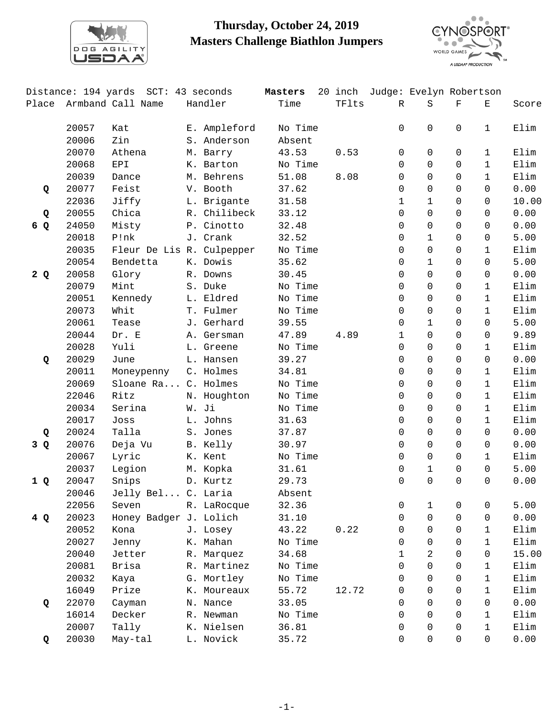

## **Thursday, October 24, 2019 Masters Challenge Biathlon Jumpers**



|       |       | Distance: 194 yards SCT: 43 seconds |              | Masters |       | 20 inch Judge: Evelyn Robertson |              |             |              |       |
|-------|-------|-------------------------------------|--------------|---------|-------|---------------------------------|--------------|-------------|--------------|-------|
| Place |       | Armband Call Name                   | Handler      | Time    | TFlts | $\mathbb{R}$                    | $\rm S$      | $\mathbf F$ | $\mathbf E$  | Score |
|       | 20057 | Kat                                 | E. Ampleford | No Time |       | $\Omega$                        | $\mathsf{O}$ | $\Omega$    | $\mathbf{1}$ | Elim  |
|       | 20006 | Zin                                 | S. Anderson  | Absent  |       |                                 |              |             |              |       |
|       | 20070 | Athena                              | M. Barry     | 43.53   | 0.53  | 0                               | $\mathbf 0$  | 0           | $\mathbf{1}$ | Elim  |
|       | 20068 | EPI                                 | K. Barton    | No Time |       | 0                               | $\mathsf{O}$ | $\mathbf 0$ | $\mathbf{1}$ | Elim  |
|       | 20039 | Dance                               | M. Behrens   | 51.08   | 8.08  | 0                               | $\Omega$     | $\Omega$    | $\mathbf{1}$ | Elim  |
| Q     | 20077 | Feist                               | V. Booth     | 37.62   |       | 0                               | $\Omega$     | 0           | $\Omega$     | 0.00  |
|       | 22036 | Jiffy                               | L. Brigante  | 31.58   |       | 1                               | $\mathbf{1}$ | $\Omega$    | $\Omega$     | 10.00 |
| Q     | 20055 | Chica                               | R. Chilibeck | 33.12   |       | 0                               | 0            | $\Omega$    | $\Omega$     | 0.00  |
| 6 Q   | 24050 | Misty                               | P. Cinotto   | 32.48   |       | 0                               | $\mathbf 0$  | 0           | $\Omega$     | 0.00  |
|       | 20018 | P!nk                                | J. Crank     | 32.52   |       | 0                               | $\mathbf{1}$ | 0           | $\Omega$     | 5.00  |
|       | 20035 | Fleur De Lis R. Culpepper           |              | No Time |       | $\Omega$                        | $\mathbf 0$  | $\Omega$    | $\mathbf{1}$ | Elim  |
|       | 20054 | Bendetta                            | K. Dowis     | 35.62   |       | 0                               | $\mathbf{1}$ | 0           | $\Omega$     | 5.00  |
| 2Q    | 20058 | Glory                               | R. Downs     | 30.45   |       | 0                               | $\mathbf 0$  | 0           | 0            | 0.00  |
|       | 20079 | Mint                                | S. Duke      | No Time |       | $\Omega$                        | $\Omega$     | 0           | $\mathbf{1}$ | Elim  |
|       | 20051 | Kennedy                             | L. Eldred    | No Time |       | 0                               | $\Omega$     | $\Omega$    | $\mathbf{1}$ | Elim  |
|       | 20073 | Whit                                | T. Fulmer    | No Time |       | 0                               | $\mathbf 0$  | $\mathbf 0$ | $\mathbf{1}$ | Elim  |
|       | 20061 | Tease                               | J. Gerhard   | 39.55   |       | 0                               | $\mathbf{1}$ | $\Omega$    | $\Omega$     | 5.00  |
|       | 20044 | Dr. E                               | A. Gersman   | 47.89   | 4.89  | 1                               | $\Omega$     | $\Omega$    | $\Omega$     | 9.89  |
|       | 20028 | Yuli                                | L. Greene    | No Time |       | 0                               | $\Omega$     | $\Omega$    | $\mathbf{1}$ | Elim  |
| Q     | 20029 | June                                | L. Hansen    | 39.27   |       | 0                               | $\mathbf 0$  | $\Omega$    | $\Omega$     | 0.00  |
|       | 20011 | Moneypenny                          | C. Holmes    | 34.81   |       | 0                               | $\mathsf{O}$ | $\Omega$    | $\mathbf{1}$ | Elim  |
|       | 20069 | Sloane Ra C. Holmes                 |              | No Time |       | 0                               | $\Omega$     | 0           | $\mathbf{1}$ | Elim  |
|       | 22046 | Ritz                                | N. Houghton  | No Time |       | 0                               | $\Omega$     | 0           | $\mathbf{1}$ | Elim  |
|       | 20034 | Serina                              | W. Ji        | No Time |       | 0                               | $\mathbf 0$  | $\Omega$    | $\mathbf 1$  | Elim  |
|       | 20017 | Joss                                | L. Johns     | 31.63   |       | 0                               | $\mathsf{O}$ | $\Omega$    | $\mathbf{1}$ | Elim  |
| Q     | 20024 | Talla                               | S. Jones     | 37.87   |       | $\Omega$                        | $\Omega$     | $\Omega$    | $\Omega$     | 0.00  |
| 3 Q   | 20076 | Deja Vu                             | B. Kelly     | 30.97   |       | 0                               | $\Omega$     | $\Omega$    | $\Omega$     | 0.00  |
|       | 20067 | Lyric                               | K. Kent      | No Time |       | $\Omega$                        | $\Omega$     | $\Omega$    | $\mathbf{1}$ | Elim  |
|       | 20037 | Legion                              | M. Kopka     | 31.61   |       | 0                               | $\mathbf{1}$ | $\Omega$    | $\Omega$     | 5.00  |
| 1Q    | 20047 | Snips                               | D. Kurtz     | 29.73   |       | $\Omega$                        | $\Omega$     | $\Omega$    | $\Omega$     | 0.00  |
|       | 20046 | Jelly Bel C. Laria                  |              | Absent  |       |                                 |              |             |              |       |
|       | 22056 | Seven                               | R. LaRocque  | 32.36   |       | 0                               | $\mathbf{1}$ | 0           | 0            | 5.00  |
| 4 Q   | 20023 | Honey Badger J. Lolich              |              | 31.10   |       | 0                               | $\mathbf 0$  | 0           | $\mathbf 0$  | 0.00  |
|       | 20052 | Kona                                | J. Losey     | 43.22   | 0.22  | 0                               | $\Omega$     | 0           | 1            | Elim  |
|       | 20027 | Jenny                               | K. Mahan     | No Time |       | 0                               | $\Omega$     | 0           | $\mathbf{1}$ | Elim  |
|       | 20040 | Jetter                              | R. Marquez   | 34.68   |       | 1                               | 2            | $\Omega$    | 0            | 15.00 |
|       | 20081 | Brisa                               | R. Martinez  | No Time |       | 0                               | $\mathbf 0$  | 0           | $\mathbf{1}$ | Elim  |
|       | 20032 | Kaya                                | G. Mortley   | No Time |       | 0                               | $\Omega$     | 0           | 1            | Elim  |
|       | 16049 | Prize                               | K. Moureaux  | 55.72   | 12.72 | 0                               | $\Omega$     | 0           | $\mathbf{1}$ | Elim  |
| Q     | 22070 | Cayman                              | N. Nance     | 33.05   |       | 0                               | $\Omega$     | $\Omega$    | $\Omega$     | 0.00  |
|       | 16014 | Decker                              | R. Newman    | No Time |       | 0                               | $\mathbf 0$  | 0           | $\mathbf{1}$ | Elim  |
|       | 20007 | Tally                               | K. Nielsen   | 36.81   |       | 0                               | $\Omega$     | 0           | $\mathbf{1}$ | Elim  |
|       |       |                                     | L. Novick    |         |       | 0                               | $\mathsf{O}$ | 0           | $\mathbf 0$  |       |
| Q     | 20030 | May-tal                             |              | 35.72   |       |                                 |              |             |              | 0.00  |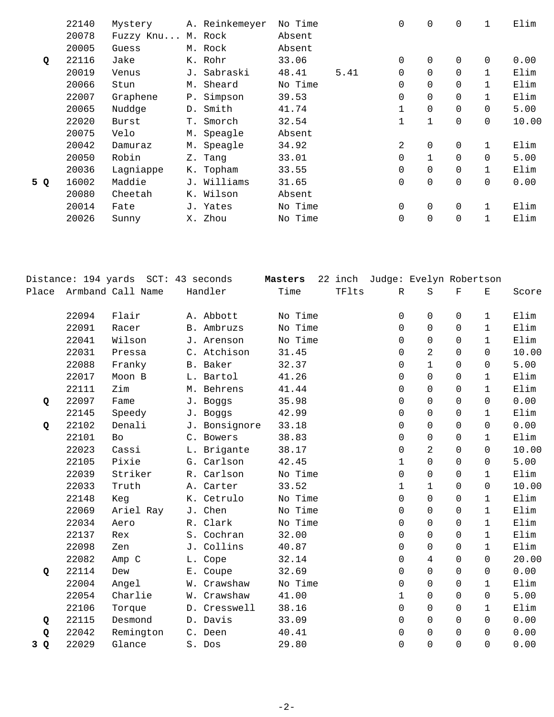|     | 22140 | Mystery   |       | A. Reinkemeyer | No Time |      | 0            | $\mathbf 0$  | 0        |          | Elim  |
|-----|-------|-----------|-------|----------------|---------|------|--------------|--------------|----------|----------|-------|
|     | 20078 | Fuzzy Knu |       | M. Rock        | Absent  |      |              |              |          |          |       |
|     | 20005 | Guess     |       | M. Rock        | Absent  |      |              |              |          |          |       |
| Q   | 22116 | Jake      |       | K. Rohr        | 33.06   |      | $\Omega$     | $\Omega$     | $\Omega$ | $\Omega$ | 0.00  |
|     | 20019 | Venus     |       | J. Sabraski    | 48.41   | 5.41 | 0            | $\Omega$     | $\Omega$ |          | Elim  |
|     | 20066 | Stun      |       | M. Sheard      | No Time |      | 0            | $\Omega$     | $\Omega$ |          | Elim  |
|     | 22007 | Graphene  | $P$ . | Simpson        | 39.53   |      | 0            | $\Omega$     | $\Omega$ |          | Elim  |
|     | 20065 | Nuddge    | D.    | Smith          | 41.74   |      | $\mathbf{1}$ | $\Omega$     | $\Omega$ | $\Omega$ | 5.00  |
|     | 22020 | Burst     | Т.    | Smorch         | 32.54   |      | 1            | $\mathbf{1}$ | $\Omega$ | $\Omega$ | 10.00 |
|     | 20075 | Velo      |       | M. Speagle     | Absent  |      |              |              |          |          |       |
|     | 20042 | Damuraz   |       | M. Speagle     | 34.92   |      | 2            | $\mathbf 0$  | $\Omega$ |          | Elim  |
|     | 20050 | Robin     |       | Z. Tang        | 33.01   |      | $\Omega$     |              | $\Omega$ | $\Omega$ | 5.00  |
|     | 20036 | Lagniappe |       | K. Topham      | 33.55   |      | $\Omega$     | $\Omega$     |          |          | Elim  |
| 5 Q | 16002 | Maddie    |       | J. Williams    | 31.65   |      | $\Omega$     | $\Omega$     | $\Omega$ | $\Omega$ | 0.00  |
|     | 20080 | Cheetah   |       | K. Wilson      | Absent  |      |              |              |          |          |       |
|     | 20014 | Fate      |       | J. Yates       | No Time |      | 0            | $\mathbf 0$  | $\Omega$ |          | Elim  |
|     | 20026 | Sunny     | Х.    | Zhou           | No Time |      | 0            | $\mathbf 0$  | 0        |          | Elim  |
|     |       |           |       |                |         |      |              |              |          |          |       |

|       |       | Distance: 194 yards SCT: 43 seconds |               | Masters |       | 22 inch Judge: Evelyn Robertson |                |             |              |       |
|-------|-------|-------------------------------------|---------------|---------|-------|---------------------------------|----------------|-------------|--------------|-------|
| Place |       | Armband Call Name                   | Handler       | Time    | TFlts | $\mathbb{R}$                    | S              | $\mathbf F$ | Ε            | Score |
|       | 22094 | Flair                               | A. Abbott     | No Time |       | 0                               | 0              | $\Omega$    | $\mathbf{1}$ | Elim  |
|       | 22091 | Racer                               | B. Ambruzs    | No Time |       | $\Omega$                        | $\Omega$       | $\Omega$    | $\mathbf{1}$ | Elim  |
|       | 22041 | Wilson                              | J. Arenson    | No Time |       | 0                               | $\Omega$       | $\Omega$    | $\mathbf{1}$ | Elim  |
|       | 22031 | Pressa                              | C. Atchison   | 31.45   |       | 0                               | $\overline{a}$ | $\Omega$    | $\Omega$     | 10.00 |
|       | 22088 | Franky                              | B. Baker      | 32.37   |       | 0                               | $\mathbf{1}$   | $\Omega$    | $\mathbf 0$  | 5.00  |
|       | 22017 | Moon B                              | L. Bartol     | 41.26   |       | 0                               | $\Omega$       | $\Omega$    | 1            | Elim  |
|       | 22111 | Zim                                 | M. Behrens    | 41.44   |       | 0                               | $\Omega$       | $\Omega$    | $\mathbf{1}$ | Elim  |
| Q     | 22097 | Fame                                | J. Boggs      | 35.98   |       | 0                               | $\Omega$       | $\Omega$    | $\Omega$     | 0.00  |
|       | 22145 | Speedy                              | J. Boggs      | 42.99   |       | $\Omega$                        | $\Omega$       | $\Omega$    | $\mathbf{1}$ | Elim  |
| Q     | 22102 | Denali                              | J. Bonsignore | 33.18   |       | 0                               | $\Omega$       | $\Omega$    | $\Omega$     | 0.00  |
|       | 22101 | <b>Bo</b>                           | C. Bowers     | 38.83   |       | 0                               | $\Omega$       | $\Omega$    | $\mathbf{1}$ | Elim  |
|       | 22023 | Cassi                               | L. Brigante   | 38.17   |       | 0                               | 2              | $\Omega$    | $\Omega$     | 10.00 |
|       | 22105 | Pixie                               | G. Carlson    | 42.45   |       | 1                               | $\Omega$       | $\Omega$    | $\Omega$     | 5.00  |
|       | 22039 | Striker                             | R. Carlson    | No Time |       | 0                               | $\Omega$       | $\Omega$    | $\mathbf{1}$ | Elim  |
|       | 22033 | Truth                               | A. Carter     | 33.52   |       | $\mathbf 1$                     | $\mathbf{1}$   | $\Omega$    | $\Omega$     | 10.00 |
|       | 22148 | Keg                                 | K. Cetrulo    | No Time |       | 0                               | $\Omega$       | $\Omega$    | 1            | Elim  |
|       | 22069 | Ariel Ray                           | J. Chen       | No Time |       | 0                               | $\Omega$       | $\Omega$    | $\mathbf{1}$ | Elim  |
|       | 22034 | Aero                                | R. Clark      | No Time |       | 0                               | $\Omega$       | $\Omega$    | $\mathbf{1}$ | Elim  |
|       | 22137 | Rex                                 | S. Cochran    | 32.00   |       | 0                               | $\Omega$       | $\Omega$    | $\mathbf{1}$ | Elim  |
|       | 22098 | Zen                                 | J. Collins    | 40.87   |       | 0                               | 0              | $\Omega$    | $\mathbf{1}$ | Elim  |
|       | 22082 | Amp C                               | L. Cope       | 32.14   |       | 0                               | 4              | $\Omega$    | $\Omega$     | 20.00 |
| Q     | 22114 | Dew                                 | E. Coupe      | 32.69   |       | 0                               | 0              | $\Omega$    | $\Omega$     | 0.00  |
|       | 22004 | Angel                               | W. Crawshaw   | No Time |       | 0                               | $\Omega$       | $\Omega$    | $\mathbf{1}$ | Elim  |
|       | 22054 | Charlie                             | W. Crawshaw   | 41.00   |       | 1                               | $\Omega$       | $\Omega$    | $\Omega$     | 5.00  |
|       | 22106 | Torque                              | D. Cresswell  | 38.16   |       | 0                               | $\Omega$       | $\Omega$    | $\mathbf{1}$ | Elim  |
| Q     | 22115 | Desmond                             | D. Davis      | 33.09   |       | $\Omega$                        | $\Omega$       | $\Omega$    | $\Omega$     | 0.00  |
| Q     | 22042 | Remington                           | C. Deen       | 40.41   |       | 0                               | 0              | $\Omega$    | $\Omega$     | 0.00  |
| 3Q    | 22029 | Glance                              | S. Dos        | 29.80   |       | 0                               | $\Omega$       | $\Omega$    | $\Omega$     | 0.00  |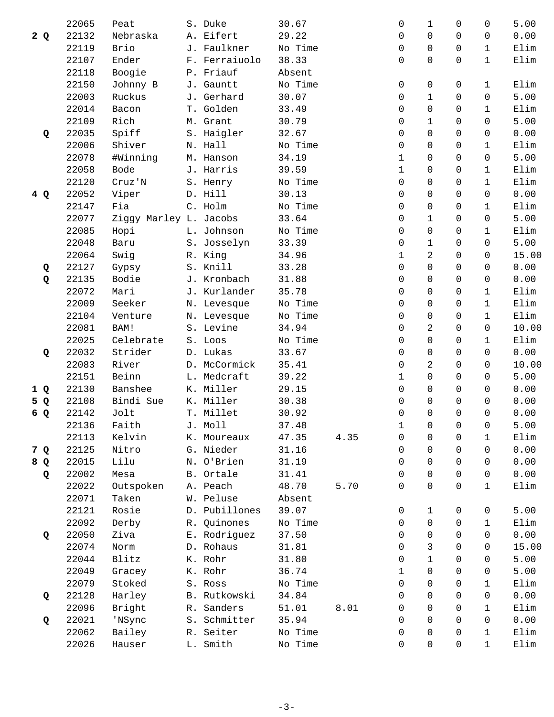|     | 22065 | Peat                   | S. Duke       | 30.67   |      | 0           | 1              | 0              | 0              | 5.00  |
|-----|-------|------------------------|---------------|---------|------|-------------|----------------|----------------|----------------|-------|
| 2Q  | 22132 | Nebraska               | A. Eifert     | 29.22   |      | 0           | $\Omega$       | 0              | $\Omega$       | 0.00  |
|     | 22119 | Brio                   | J. Faulkner   | No Time |      | 0           | $\Omega$       | $\Omega$       | $\mathbf{1}$   | Elim  |
|     | 22107 | Ender                  | F. Ferraiuolo | 38.33   |      | 0           | $\Omega$       | $\Omega$       | $\mathbf{1}$   | Elim  |
|     | 22118 | Boogie                 | P. Friauf     | Absent  |      |             |                |                |                |       |
|     | 22150 | Johnny B               | J. Gauntt     | No Time |      | 0           | 0              | 0              | 1              | Elim  |
|     | 22003 | Ruckus                 | J. Gerhard    | 30.07   |      | 0           | $\mathbf{1}$   | $\Omega$       | $\Omega$       | 5.00  |
|     | 22014 | Bacon                  | T. Golden     | 33.49   |      | 0           | $\Omega$       | $\Omega$       | $\mathbf 1$    | Elim  |
|     | 22109 | Rich                   | M. Grant      | 30.79   |      | 0           | $\mathbf{1}$   | $\Omega$       | $\Omega$       | 5.00  |
| Q   | 22035 | Spiff                  | S. Haigler    | 32.67   |      | 0           | $\Omega$       | $\Omega$       | $\Omega$       | 0.00  |
|     | 22006 | Shiver                 | N. Hall       | No Time |      | 0           | $\Omega$       | $\Omega$       | $\mathbf{1}$   | Elim  |
|     | 22078 | #Winning               | M. Hanson     | 34.19   |      | $\mathbf 1$ | $\Omega$       | 0              | $\Omega$       | 5.00  |
|     | 22058 | Bode                   | J. Harris     | 39.59   |      | $\mathbf 1$ | $\mathsf{O}$   | $\Omega$       | $\mathbf{1}$   | Elim  |
|     | 22120 | Cruz'N                 | S. Henry      | No Time |      | 0           | $\Omega$       | $\Omega$       | $\mathbf{1}$   | Elim  |
| 4 Q | 22052 | Viper                  | D. Hill       | 30.13   |      | 0           | $\Omega$       | $\Omega$       | $\Omega$       | 0.00  |
|     | 22147 | Fia                    | C. Holm       | No Time |      | $\Omega$    | $\mathbf 0$    | 0              | $\mathbf 1$    | Elim  |
|     | 22077 | Ziggy Marley L. Jacobs |               | 33.64   |      | 0           | $\mathbf{1}$   | $\Omega$       | $\Omega$       | 5.00  |
|     | 22085 | Hopi                   | L. Johnson    | No Time |      | 0           | $\Omega$       | $\Omega$       | $\mathbf{1}$   | Elim  |
|     | 22048 | Baru                   | S. Josselyn   | 33.39   |      | 0           | $\mathbf{1}$   | $\Omega$       | $\Omega$       | 5.00  |
|     | 22064 | Swig                   | R. King       | 34.96   |      | 1           | $\overline{a}$ | $\Omega$       | $\Omega$       | 15.00 |
| Q   | 22127 | Gypsy                  | S. Knill      | 33.28   |      | 0           | $\mathsf{O}$   | $\Omega$       | $\Omega$       | 0.00  |
| Q   | 22135 | Bodie                  | J. Kronbach   | 31.88   |      | 0           | $\Omega$       | $\Omega$       | $\Omega$       | 0.00  |
|     | 22072 | Mari                   | J. Kurlander  | 35.78   |      | 0           | $\Omega$       | 0              | $\mathbf{1}$   | Elim  |
|     | 22009 | Seeker                 | N. Levesque   | No Time |      | $\Omega$    | $\Omega$       | $\Omega$       | $\mathbf{1}$   | Elim  |
|     | 22104 | Venture                | N. Levesque   | No Time |      | 0           | $\mathsf{O}$   | $\Omega$       | $\mathbf{1}$   | Elim  |
|     | 22081 | BAM!                   | S. Levine     | 34.94   |      | 0           | 2              | $\Omega$       | $\Omega$       | 10.00 |
|     | 22025 | Celebrate              | S. Loos       | No Time |      | 0           | $\Omega$       | 0              | $\mathbf{1}$   | Elim  |
| Q   | 22032 | Strider                | D. Lukas      | 33.67   |      | 0           | $\Omega$       | $\Omega$       | $\Omega$       | 0.00  |
|     | 22083 | River                  | D. McCormick  | 35.41   |      | 0           | 2              | $\Omega$       | $\Omega$       | 10.00 |
|     | 22151 | Beinn                  | L. Medcraft   | 39.22   |      | 1           | $\Omega$       | $\Omega$       | $\Omega$       | 5.00  |
| 1 Q | 22130 | Banshee                | K. Miller     | 29.15   |      | 0           | $\Omega$       | $\Omega$       | $\Omega$       | 0.00  |
| 5 Q | 22108 | Bindi Sue              | K. Miller     | 30.38   |      | $\Omega$    | $\Omega$       | $\Omega$       | $\Omega$       | 0.00  |
| 6 Q | 22142 | Jolt                   | T. Millet     | 30.92   |      | 0           | $\Omega$       | $\Omega$       | $\Omega$       | 0.00  |
|     | 22136 | Faith                  | J. Moll       | 37.48   |      | 1           | $\mathsf{O}$   | $\overline{0}$ | $\overline{0}$ | 5.00  |
|     | 22113 | Kelvin                 | K. Moureaux   | 47.35   | 4.35 | 0           | 0              | 0              | 1              | Elim  |
| 7 Q | 22125 | Nitro                  | G. Nieder     | 31.16   |      | $\Omega$    | $\Omega$       | $\Omega$       | $\Omega$       | 0.00  |
| 8 Q | 22015 | Lilu                   | N. O'Brien    | 31.19   |      | 0           | $\Omega$       | $\Omega$       | $\Omega$       | 0.00  |
| Q   | 22002 | Mesa                   | B. Ortale     | 31.41   |      | 0           | $\mathsf{O}$   | $\Omega$       | $\Omega$       | 0.00  |
|     | 22022 | Outspoken              | A. Peach      | 48.70   | 5.70 | $\Omega$    | $\Omega$       | $\Omega$       | $\mathbf{1}$   | Elim  |
|     | 22071 | Taken                  | W. Peluse     | Absent  |      |             |                |                |                |       |
|     | 22121 | Rosie                  | D. Pubillones | 39.07   |      | 0           | $\mathbf{1}$   | 0              | 0              | 5.00  |
|     | 22092 | Derby                  | R. Quinones   | No Time |      | 0           | $\mathsf{O}$   | $\Omega$       | $\mathbf{1}$   | Elim  |
|     | 22050 | Ziva                   | E. Rodriguez  | 37.50   |      | 0           | $\Omega$       | $\Omega$       | $\Omega$       | 0.00  |
| Q   | 22074 | Norm                   | D. Rohaus     | 31.81   |      | 0           | 3              | 0              | 0              | 15.00 |
|     | 22044 | Blitz                  | K. Rohr       | 31.80   |      | $\Omega$    | $\mathbf{1}$   | 0              | 0              | 5.00  |
|     |       |                        |               |         |      |             |                | $\Omega$       |                |       |
|     | 22049 | Gracey                 | K. Rohr       | 36.74   |      | 1           | $\mathbf 0$    |                | $\mathbf 0$    | 5.00  |
|     | 22079 | Stoked                 | S. Ross       | No Time |      | 0           | $\Omega$       | 0              | $\mathbf{1}$   | Elim  |
| Q   | 22128 | Harley                 | B. Rutkowski  | 34.84   |      | 0           | $\Omega$       | $\Omega$       | $\Omega$       | 0.00  |
|     | 22096 | Bright                 | R. Sanders    | 51.01   | 8.01 | $\Omega$    | $\Omega$       | 0              | $\mathbf{1}$   | Elim  |
| Q   | 22021 | 'NSync                 | S. Schmitter  | 35.94   |      | 0           | $\Omega$       | $\Omega$       | $\Omega$       | 0.00  |
|     | 22062 | Bailey                 | R. Seiter     | No Time |      | 0           | $\Omega$       | 0              | 1              | Elim  |
|     | 22026 | Hauser                 | L. Smith      | No Time |      | 0           | $\mathsf{O}$   | 0              | $\mathbf{1}$   | Elim  |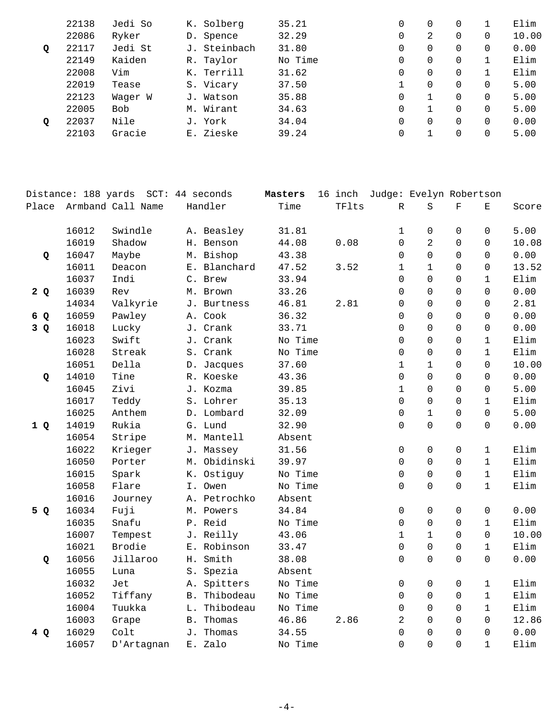|   | 22138 | Jedi So | K. Solberg   | 35.21   | 0 | 0        | 0        |          | Elim  |
|---|-------|---------|--------------|---------|---|----------|----------|----------|-------|
|   | 22086 | Ryker   | D. Spence    | 32.29   | 0 | 2        | 0        | 0        | 10.00 |
| Q | 22117 | Jedi St | J. Steinbach | 31.80   | 0 | 0        | 0        | 0        | 0.00  |
|   | 22149 | Kaiden  | R. Taylor    | No Time | 0 | 0        | 0        |          | Elim  |
|   | 22008 | Vim     | K. Terrill   | 31.62   | 0 | 0        | 0        |          | Elim  |
|   | 22019 | Tease   | S. Vicary    | 37.50   |   | $\Omega$ | 0        | 0        | 5.00  |
|   | 22123 | Wager W | J. Watson    | 35.88   | 0 |          | 0        | 0        | 5.00  |
|   | 22005 | Bob     | M. Wirant    | 34.63   | 0 |          | $\Omega$ | $\Omega$ | 5.00  |
| Q | 22037 | Nile    | J. York      | 34.04   | 0 | $\Omega$ | 0        | 0        | 0.00  |
|   | 22103 | Gracie  | E. Zieske    | 39.24   | 0 |          |          | 0        | 5.00  |
|   |       |         |              |         |   |          |          |          |       |

|       | Distance: 188 yards |                   | SCT: 44 seconds | Masters | 16 inch |                     | Judge: Evelyn Robertson |                     |                    |       |
|-------|---------------------|-------------------|-----------------|---------|---------|---------------------|-------------------------|---------------------|--------------------|-------|
| Place |                     | Armband Call Name | Handler         | Time    | TFlts   | R                   | S                       | $\mathbf F$         | $\mathbf{E}% _{0}$ | Score |
|       | 16012               | Swindle           | A. Beasley      | 31.81   |         | 1                   | 0                       | $\mathbf 0$         | 0                  | 5.00  |
|       | 16019               | Shadow            | H. Benson       | 44.08   | 0.08    | 0                   | 2                       | $\Omega$            | 0                  | 10.08 |
| Q     | 16047               | Maybe             | M. Bishop       | 43.38   |         | 0                   | $\Omega$                | $\Omega$            | 0                  | 0.00  |
|       | 16011               | Deacon            | E. Blanchard    | 47.52   | 3.52    | $\mathbf{1}$        | $\mathbf{1}$            | $\Omega$            | 0                  | 13.52 |
|       | 16037               | Indi              | C. Brew         | 33.94   |         | 0                   | 0                       | $\Omega$            | $\mathbf 1$        | Elim  |
| 2Q    | 16039               | Rev               | M. Brown        | 33.26   |         | 0                   | 0                       | $\Omega$            | 0                  | 0.00  |
|       | 14034               | Valkyrie          | J. Burtness     | 46.81   | 2.81    | $\mathbf 0$         | 0                       | $\Omega$            | 0                  | 2.81  |
| 6 Q   | 16059               | Pawley            | A. Cook         | 36.32   |         | $\mathbf 0$         | 0                       | $\Omega$            | 0                  | 0.00  |
| 3Q    | 16018               | Lucky             | J. Crank        | 33.71   |         | $\Omega$            | $\Omega$                | $\Omega$            | $\Omega$           | 0.00  |
|       | 16023               | Swift             | J. Crank        | No Time |         | $\Omega$            | $\Omega$                | $\Omega$            | $\mathbf{1}$       | Elim  |
|       | 16028               | Streak            | S. Crank        | No Time |         | $\Omega$            | $\Omega$                | $\Omega$            | $\mathbf 1$        | Elim  |
|       | 16051               | Della             | D. Jacques      | 37.60   |         | $\mathbf 1$         | $\mathbf{1}$            | $\Omega$            | $\Omega$           | 10.00 |
| Q     | 14010               | Tine              | R. Koeske       | 43.36   |         | $\Omega$            | $\Omega$                | $\Omega$            | $\Omega$           | 0.00  |
|       | 16045               | Zivi              | J. Kozma        | 39.85   |         | $\mathbf{1}$        | $\Omega$                | $\Omega$            | $\Omega$           | 5.00  |
|       | 16017               | Teddy             | S. Lohrer       | 35.13   |         | $\Omega$            | $\Omega$                | $\Omega$            | $\mathbf{1}$       | Elim  |
|       | 16025               | Anthem            | D. Lombard      | 32.09   |         | $\mathsf{O}\xspace$ | $\mathbf{1}$            | $\Omega$            | $\Omega$           | 5.00  |
| 1Q    | 14019               | Rukia             | G. Lund         | 32.90   |         | $\mathbf 0$         | $\overline{0}$          | 0                   | 0                  | 0.00  |
|       | 16054               | Stripe            | M. Mantell      | Absent  |         |                     |                         |                     |                    |       |
|       | 16022               | Krieger           | J. Massey       | 31.56   |         | 0                   | 0                       | $\mathbf 0$         | 1                  | Elim  |
|       | 16050               | Porter            | M. Obidinski    | 39.97   |         | $\mathbf 0$         | 0                       | $\Omega$            | $\mathbf{1}$       | Elim  |
|       | 16015               | Spark             | K. Ostiguy      | No Time |         | $\mathbf 0$         | 0                       | 0                   | $\mathbf{1}$       | Elim  |
|       | 16058               | Flare             | I. Owen         | No Time |         | 0                   | 0                       | 0                   | $\mathbf{1}$       | Elim  |
|       | 16016               | Journey           | A. Petrochko    | Absent  |         |                     |                         |                     |                    |       |
| 5 Q   | 16034               | Fuji              | M. Powers       | 34.84   |         | $\mathsf 0$         | $\mathsf{O}\xspace$     | $\mathsf{O}\xspace$ | $\mathsf 0$        | 0.00  |
|       | 16035               | Snafu             | P. Reid         | No Time |         | $\mathsf 0$         | 0                       | 0                   | $\mathbf{1}$       | Elim  |
|       | 16007               | Tempest           | J. Reilly       | 43.06   |         | $\mathbf 1$         | $\mathbf{1}$            | $\mathsf{O}$        | $\mathbf 0$        | 10.00 |
|       | 16021               | Brodie            | E. Robinson     | 33.47   |         | $\mathsf{O}\xspace$ | 0                       | 0                   | $\mathbf{1}$       | Elim  |
| Q     | 16056               | Jillaroo          | H. Smith        | 38.08   |         | $\mathbf 0$         | 0                       | $\mathbf 0$         | $\overline{0}$     | 0.00  |
|       | 16055               | Luna              | S. Spezia       | Absent  |         |                     |                         |                     |                    |       |
|       | 16032               | Jet               | A. Spitters     | No Time |         | $\mathsf{O}\xspace$ | 0                       | $\mathsf{O}$        | $\mathbf{1}$       | Elim  |
|       | 16052               | Tiffany           | B. Thibodeau    | No Time |         | $\mathbf 0$         | 0                       | $\mathsf{O}$        | $\mathbf{1}$       | Elim  |
|       | 16004               | Tuukka            | L. Thibodeau    | No Time |         | 0                   | 0                       | $\mathsf{O}$        | $\mathbf{1}$       | Elim  |
|       | 16003               | Grape             | B. Thomas       | 46.86   | 2.86    | $\sqrt{2}$          | 0                       | 0                   | $\Omega$           | 12.86 |
| 4 Q   | 16029               | Colt              | J. Thomas       | 34.55   |         | $\mathbf 0$         | $\mathbf 0$             | $\overline{0}$      | $\mathbf 0$        | 0.00  |
|       | 16057               | D'Artagnan        | E. Zalo         | No Time |         | 0                   | $\overline{0}$          | $\Omega$            | $\mathbf{1}$       | Elim  |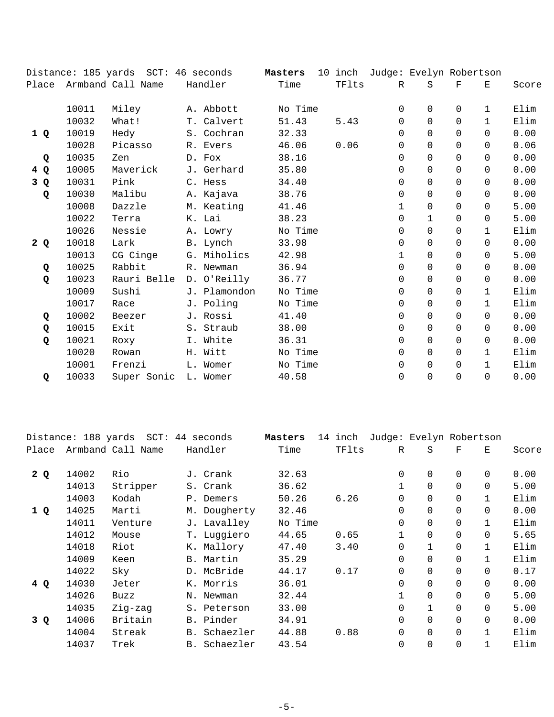|       |       | Distance: 185 yards SCT: 46 seconds |              | Masters |       | 10 inch Judge: Evelyn Robertson |              |              |              |       |
|-------|-------|-------------------------------------|--------------|---------|-------|---------------------------------|--------------|--------------|--------------|-------|
| Place |       | Armband Call Name                   | Handler      | Time    | TFlts | R                               | S            | $\mathbf{F}$ | Ε            | Score |
|       | 10011 | Miley                               | A. Abbott    | No Time |       | 0                               | $\Omega$     | 0            | $\mathbf{1}$ | Elim  |
|       | 10032 | What!                               | T. Calvert   | 51.43   | 5.43  | $\Omega$                        | $\Omega$     | $\Omega$     | $\mathbf{1}$ | Elim  |
| 1 Q   | 10019 | Hedy                                | S. Cochran   | 32.33   |       | 0                               | $\Omega$     | 0            | $\Omega$     | 0.00  |
|       | 10028 | Picasso                             | R. Evers     | 46.06   | 0.06  | $\Omega$                        | $\Omega$     | $\Omega$     | 0            | 0.06  |
| Q     | 10035 | Zen                                 | D. Fox       | 38.16   |       | $\Omega$                        | $\Omega$     | $\Omega$     | $\Omega$     | 0.00  |
| 4Q    | 10005 | Maverick                            | J. Gerhard   | 35.80   |       | $\Omega$                        | $\Omega$     | $\Omega$     | $\Omega$     | 0.00  |
| 3 Q   | 10031 | Pink                                | C. Hess      | 34.40   |       | $\Omega$                        | $\Omega$     | $\Omega$     | $\Omega$     | 0.00  |
| Q     | 10030 | Malibu                              | A. Kajava    | 38.76   |       | $\Omega$                        | $\Omega$     | $\Omega$     | $\Omega$     | 0.00  |
|       | 10008 | Dazzle                              | M. Keating   | 41.46   |       | 1                               | $\Omega$     | $\Omega$     | $\Omega$     | 5.00  |
|       | 10022 | Terra                               | K. Lai       | 38.23   |       | 0                               | $\mathbf{1}$ | $\Omega$     | $\Omega$     | 5.00  |
|       | 10026 | Nessie                              | A. Lowry     | No Time |       | $\Omega$                        | $\Omega$     | $\Omega$     | $\mathbf{1}$ | Elim  |
| 2Q    | 10018 | Lark                                | B. Lynch     | 33.98   |       | 0                               | $\Omega$     | $\Omega$     | $\Omega$     | 0.00  |
|       | 10013 | CG Cinge                            | G. Miholics  | 42.98   |       | $\mathbf 1$                     | $\Omega$     | 0            | 0            | 5.00  |
| Q     | 10025 | Rabbit                              | R. Newman    | 36.94   |       | 0                               | $\Omega$     | $\Omega$     | $\Omega$     | 0.00  |
| Q     | 10023 | Rauri Belle                         | D. O'Reilly  | 36.77   |       | $\Omega$                        | $\Omega$     | $\Omega$     | $\Omega$     | 0.00  |
|       | 10009 | Sushi                               | J. Plamondon | No Time |       | $\Omega$                        | $\Omega$     | $\Omega$     | $\mathbf{1}$ | Elim  |
|       | 10017 | Race                                | J. Poling    | No Time |       | $\Omega$                        | $\Omega$     | $\Omega$     | $\mathbf{1}$ | Elim  |
| Q     | 10002 | Beezer                              | J. Rossi     | 41.40   |       | $\Omega$                        | $\Omega$     | $\Omega$     | $\Omega$     | 0.00  |
| Q     | 10015 | Exit                                | S. Straub    | 38.00   |       | $\Omega$                        | $\Omega$     | $\Omega$     | $\Omega$     | 0.00  |
| Q     | 10021 | Roxy                                | I. White     | 36.31   |       | 0                               | $\Omega$     | $\Omega$     | $\Omega$     | 0.00  |
|       | 10020 | Rowan                               | H. Witt      | No Time |       | $\Omega$                        | $\mathbf 0$  | $\Omega$     | $\mathbf{1}$ | Elim  |
|       | 10001 | Frenzi                              | L. Womer     | No Time |       | $\Omega$                        | $\Omega$     | $\Omega$     | $\mathbf{1}$ | Elim  |
| Q     | 10033 | Super Sonic                         | L. Womer     | 40.58   |       | 0                               | $\Omega$     | 0            | 0            | 0.00  |

|       |       | Distance: 188 yards SCT: 44 seconds |                 | Masters | 14 inch |              | Judge: Evelyn Robertson |             |              |       |
|-------|-------|-------------------------------------|-----------------|---------|---------|--------------|-------------------------|-------------|--------------|-------|
| Place |       | Armband Call Name                   | Handler         | Time    | TFlts   | R            | S                       | $\mathbf F$ | Е            | Score |
| 2Q    | 14002 | Rio                                 | J. Crank        | 32.63   |         | $\mathbf 0$  | 0                       | $\mathbf 0$ | 0            | 0.00  |
|       | 14013 | Stripper                            | S. Crank        | 36.62   |         | $\mathbf{1}$ | $\Omega$                | $\Omega$    | $\Omega$     | 5.00  |
|       | 14003 | Kodah                               | P. Demers       | 50.26   | 6.26    | $\mathbf 0$  | $\Omega$                | $\Omega$    | $\mathbf{1}$ | Elim  |
| 1Q    | 14025 | Marti                               | M. Dougherty    | 32.46   |         | $\mathbf 0$  | $\Omega$                | $\Omega$    | $\Omega$     | 0.00  |
|       | 14011 | Venture                             | J. Lavalley     | No Time |         | $\Omega$     | $\Omega$                | $\Omega$    |              | Elim  |
|       | 14012 | Mouse                               | T. Luggiero     | 44.65   | 0.65    | $\mathbf 1$  | $\Omega$                | $\Omega$    | $\Omega$     | 5.65  |
|       | 14018 | Riot                                | K. Mallory      | 47.40   | 3.40    | $\mathbf 0$  | $\mathbf{1}$            | $\Omega$    |              | Elim  |
|       | 14009 | Keen                                | B. Martin       | 35.29   |         | $\Omega$     | $\Omega$                | $\Omega$    | $\mathbf{1}$ | Elim  |
|       | 14022 | Sky                                 | D. McBride      | 44.17   | 0.17    | $\mathbf 0$  | 0                       | $\Omega$    | $\Omega$     | 0.17  |
| 4Q    | 14030 | Jeter                               | K. Morris       | 36.01   |         | $\mathbf 0$  | 0                       | $\Omega$    | $\Omega$     | 0.00  |
|       | 14026 | Buzz                                | N. Newman       | 32.44   |         | $\mathbf 1$  | 0                       | $\Omega$    | $\Omega$     | 5.00  |
|       | 14035 | Zig-zag                             | S. Peterson     | 33.00   |         | $\mathbf 0$  | $\mathbf{1}$            | $\Omega$    | $\Omega$     | 5.00  |
| 3 Q   | 14006 | Britain                             | B. Pinder       | 34.91   |         | $\Omega$     | $\Omega$                | $\Omega$    | $\Omega$     | 0.00  |
|       | 14004 | Streak                              | Schaezler<br>B. | 44.88   | 0.88    | $\mathbf 0$  | $\Omega$                | $\Omega$    | 1            | Elim  |
|       | 14037 | Trek                                | B. Schaezler    | 43.54   |         | $\mathbf 0$  | $\overline{0}$          | $\Omega$    |              | Elim  |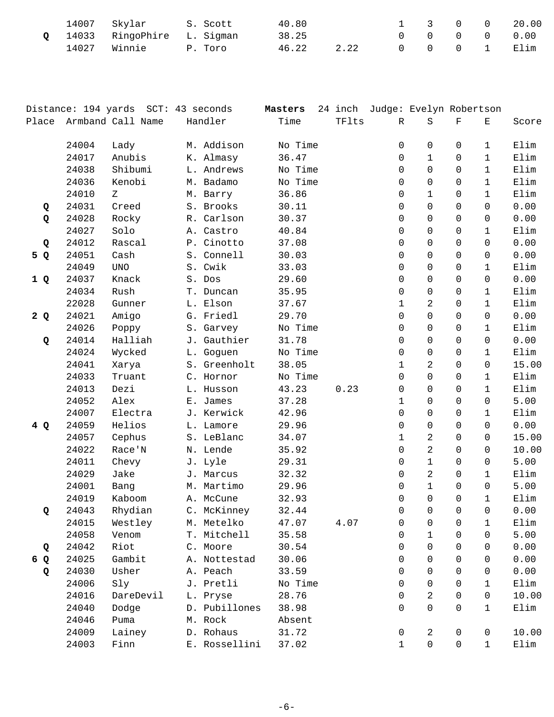|  | 14007 Skylar S. Scott        |         | 40.80 |      |  |  | 1 3 0 0 20.00                                       |
|--|------------------------------|---------|-------|------|--|--|-----------------------------------------------------|
|  | Q 14033 RingoPhire L. Sigman |         | 38.25 |      |  |  | $\begin{matrix} 0 & 0 & 0 & 0 & 0 & 0 \end{matrix}$ |
|  | 14027 Winnie                 | P. Toro | 46.22 | 2.22 |  |  | 0 0 0 1 Elim                                        |

|                                |       | Distance: 194 yards SCT: 43 seconds |               | Masters |       | 24 inch Judge: Evelyn Robertson |                |             |              |       |
|--------------------------------|-------|-------------------------------------|---------------|---------|-------|---------------------------------|----------------|-------------|--------------|-------|
| Place                          |       | Armband Call Name                   | Handler       | Time    | TFlts | R                               | $\rm S$        | $\mathbf F$ | Е            | Score |
|                                |       |                                     |               |         |       |                                 |                |             |              |       |
|                                | 24004 | Lady                                | M. Addison    | No Time |       | 0                               | $\mathbf 0$    | 0           | 1            | Elim  |
|                                | 24017 | Anubis                              | K. Almasy     | 36.47   |       | 0                               | $\mathbf{1}$   | $\Omega$    | 1            | Elim  |
|                                | 24038 | Shibumi                             | L. Andrews    | No Time |       | 0                               | $\Omega$       | $\Omega$    | $\mathbf{1}$ | Elim  |
|                                | 24036 | Kenobi                              | M. Badamo     | No Time |       | 0                               | 0              | $\Omega$    | 1            | Elim  |
|                                | 24010 | Ζ                                   | M. Barry      | 36.86   |       | 0                               | $\mathbf{1}$   | 0           | $\mathbf{1}$ | Elim  |
| Q                              | 24031 | Creed                               | S. Brooks     | 30.11   |       | 0                               | $\mathbf 0$    | 0           | 0            | 0.00  |
| Q                              | 24028 | Rocky                               | R. Carlson    | 30.37   |       | 0                               | 0              | $\Omega$    | $\Omega$     | 0.00  |
|                                | 24027 | Solo                                | A. Castro     | 40.84   |       | 0                               | 0              | $\Omega$    | $\mathbf{1}$ | Elim  |
| Q                              | 24012 | Rascal                              | P. Cinotto    | 37.08   |       | 0                               | $\mathbf 0$    | $\mathbf 0$ | 0            | 0.00  |
| 5 Q                            | 24051 | Cash                                | S. Connell    | 30.03   |       | 0                               | $\mathbf 0$    | 0           | 0            | 0.00  |
|                                | 24049 | $\ensuremath{\text{UNO}}$           | S. Cwik       | 33.03   |       | 0                               | 0              | 0           | $\mathbf{1}$ | Elim  |
| 1Q                             | 24037 | Knack                               | S. Dos        | 29.60   |       | 0                               | $\Omega$       | $\Omega$    | $\Omega$     | 0.00  |
|                                | 24034 | Rush                                | T. Duncan     | 35.95   |       | 0                               | $\mathbf 0$    | $\mathbf 0$ | $\mathbf{1}$ | Elim  |
|                                | 22028 | Gunner                              | L. Elson      | 37.67   |       | 1                               | 2              | 0           | $\mathbf{1}$ | Elim  |
| 2Q                             | 24021 | Amigo                               | G. Friedl     | 29.70   |       | 0                               | $\Omega$       | 0           | $\Omega$     | 0.00  |
|                                | 24026 | Poppy                               | S. Garvey     | No Time |       | 0                               | $\Omega$       | 0           | 1            | Elim  |
| Q                              | 24014 | Halliah                             | J. Gauthier   | 31.78   |       | 0                               | 0              | $\mathbf 0$ | 0            | 0.00  |
|                                | 24024 | Wycked                              | L. Goguen     | No Time |       | 0                               | $\mathbf 0$    | 0           | $\mathbf{1}$ | Elim  |
|                                | 24041 | Xarya                               | S. Greenholt  | 38.05   |       | 1                               | 2              | 0           | 0            | 15.00 |
|                                | 24033 | Truant                              | C. Hornor     | No Time |       | 0                               | $\Omega$       | 0           | 1            | Elim  |
|                                | 24013 | Dezi                                | L. Husson     | 43.23   | 0.23  | 0                               | $\mathbf 0$    | $\mathbf 0$ | $\mathbf{1}$ | Elim  |
|                                | 24052 | Alex                                | E. James      | 37.28   |       | 1                               | 0              | 0           | 0            | 5.00  |
|                                | 24007 | Electra                             | J. Kerwick    | 42.96   |       | 0                               | $\Omega$       | $\Omega$    | $\mathbf{1}$ | Elim  |
| 4Q                             | 24059 | Helios                              | L. Lamore     | 29.96   |       | 0                               | 0              | 0           | 0            | 0.00  |
|                                | 24057 | Cephus                              | S. LeBlanc    | 34.07   |       | 1                               | 2              | $\mathbf 0$ | $\Omega$     | 15.00 |
|                                | 24022 | Race'N                              | N. Lende      | 35.92   |       | 0                               | $\overline{2}$ | 0           | 0            | 10.00 |
|                                | 24011 | Chevy                               | J. Lyle       | 29.31   |       | 0                               | $\mathbf{1}$   | $\Omega$    | 0            | 5.00  |
|                                | 24029 | Jake                                | J. Marcus     | 32.32   |       | 0                               | 2              | $\Omega$    | $\mathbf{1}$ | Elim  |
|                                | 24001 | Bang                                | M. Martimo    | 29.96   |       | 0                               | $\mathbf{1}$   | $\Omega$    | $\Omega$     | 5.00  |
|                                | 24019 | Kaboom                              | A. McCune     | 32.93   |       | 0                               | $\mathbf 0$    | 0           | $\mathbf{1}$ | Elim  |
| Q                              | 24043 | Rhydian                             | C. McKinney   | 32.44   |       | 0                               | $\mathbf 0$    | 0           | 0            | 0.00  |
|                                | 24015 | Westley                             | M. Metelko    | 47.07   | 4.07  | 0                               | 0              | 0           | $\mathbf{1}$ | Elim  |
|                                | 24058 | Venom                               | T. Mitchell   | 35.58   |       | 0                               | $\mathbf{1}$   | $\Omega$    | $\Omega$     | 5.00  |
| Q                              | 24042 | Riot                                | C. Moore      | 30.54   |       | 0                               | $\Omega$       | $\mathbf 0$ | 0            | 0.00  |
| $\boldsymbol{\mathsf{Q}}$<br>6 | 24025 | Gambit                              | A. Nottestad  | 30.06   |       | 0                               | $\Omega$       | $\Omega$    | $\Omega$     | 0.00  |
| Q                              | 24030 | Usher                               | A. Peach      | 33.59   |       | $\Omega$                        | $\Omega$       | $\Omega$    | 0            | 0.00  |
|                                | 24006 | Sly                                 | J. Pretli     | No Time |       | 0                               | $\Omega$       | $\Omega$    | $\mathbf{1}$ | Elim  |
|                                | 24016 | DareDevil                           | L. Pryse      | 28.76   |       | 0                               | $\overline{c}$ | $\mathbf 0$ | 0            | 10.00 |
|                                | 24040 | Dodge                               | D. Pubillones | 38.98   |       | 0                               | $\mathbf 0$    | 0           | 1            | Elim  |
|                                | 24046 | Puma                                | M. Rock       | Absent  |       |                                 |                |             |              |       |
|                                | 24009 | Lainey                              | D. Rohaus     | 31.72   |       | 0                               | 2              | 0           | 0            | 10.00 |
|                                | 24003 | Finn                                | E. Rossellini | 37.02   |       | 1                               | $\mathbf 0$    | 0           | $\mathbf{1}$ | Elim  |